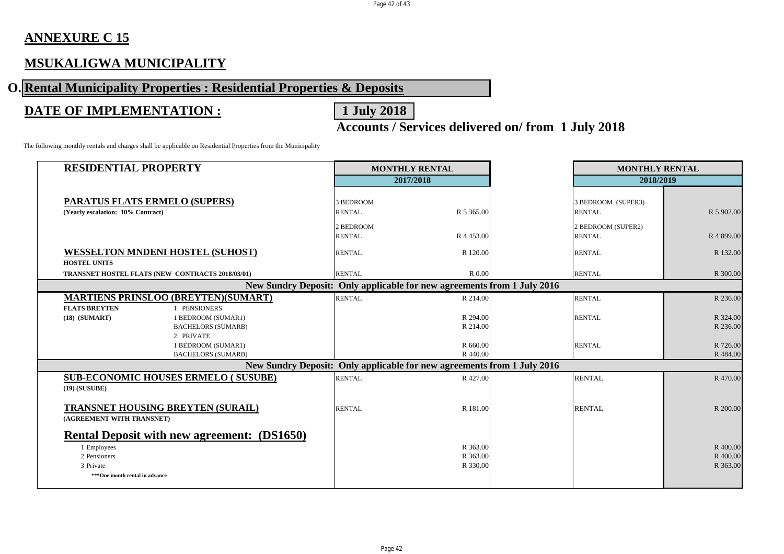## **ANNEXURE C 15**

## **MSUKALIGWA MUNICIPALITY**

# **O. Rental Municipality Properties : Residential Properties & Deposits**

## **DATE OF IMPLEMENTATION :** 1 July 2018

# **Accounts / Services delivered on/ from 1 July 2018**

The following monthly rentals and charges shall be applicable on Residential Properties from the Municipality

| <b>RESIDENTIAL PROPERTY</b>                                                                                                      |                                   |                                                  | <b>MONTHLY RENTAL</b>                                                   |                                  | <b>MONTHLY RENTAL</b> |                                     |                                  |  |
|----------------------------------------------------------------------------------------------------------------------------------|-----------------------------------|--------------------------------------------------|-------------------------------------------------------------------------|----------------------------------|-----------------------|-------------------------------------|----------------------------------|--|
|                                                                                                                                  |                                   |                                                  |                                                                         | 2017/2018                        |                       | 2018/2019                           |                                  |  |
|                                                                                                                                  | (Yearly escalation: 10% Contract) | <b>PARATUS FLATS ERMELO (SUPERS)</b>             | 3 BEDROOM<br><b>RENTAL</b>                                              | R 5 365.00                       |                       | 3 BEDROOM (SUPER3)<br><b>RENTAL</b> | R 5 902.00                       |  |
|                                                                                                                                  |                                   |                                                  | 2 BEDROOM<br><b>RENTAL</b>                                              | R 4 453.00                       |                       | 2 BEDROOM (SUPER2)<br><b>RENTAL</b> | R 4 899.00                       |  |
| <b>WESSELTON MNDENI HOSTEL (SUHOST)</b>                                                                                          |                                   |                                                  | <b>RENTAL</b>                                                           | R 120.00                         |                       | <b>RENTAL</b>                       | R 132.00                         |  |
|                                                                                                                                  | <b>HOSTEL UNITS</b>               |                                                  |                                                                         |                                  |                       |                                     |                                  |  |
|                                                                                                                                  |                                   | TRANSNET HOSTEL FLATS (NEW CONTRACTS 2018/03/01) | <b>RENTAL</b>                                                           | R 0.00                           |                       | <b>RENTAL</b>                       | R 300.00                         |  |
| New Sundry Deposit: Only applicable for new agreements from 1 July 2016                                                          |                                   |                                                  |                                                                         |                                  |                       |                                     |                                  |  |
|                                                                                                                                  |                                   | <b>MARTIENS PRINSLOO (BREYTEN)(SUMART)</b>       | <b>RENTAL</b>                                                           | R 214.00                         |                       | <b>RENTAL</b>                       | R 236.00                         |  |
|                                                                                                                                  | <b>FLATS BREYTEN</b>              | 1. PENSIONERS                                    |                                                                         |                                  |                       |                                     |                                  |  |
|                                                                                                                                  | $(18)$ $(SUMART)$                 | 1 BEDROOM (SUMAR1)                               |                                                                         | R 294.00                         |                       | <b>RENTAL</b>                       | R 324.00                         |  |
|                                                                                                                                  |                                   | <b>BACHELORS (SUMARB)</b><br>2. PRIVATE          |                                                                         | R 214.00                         |                       |                                     | R 236.00                         |  |
|                                                                                                                                  |                                   | 1 BEDROOM (SUMAR1)                               |                                                                         | R 660.00                         |                       | <b>RENTAL</b>                       | R 726.00                         |  |
|                                                                                                                                  |                                   | <b>BACHELORS (SUMARB)</b>                        |                                                                         | R 440.00                         |                       |                                     | R 484.00                         |  |
|                                                                                                                                  |                                   |                                                  | New Sundry Deposit: Only applicable for new agreements from 1 July 2016 |                                  |                       |                                     |                                  |  |
| $(19)$ (SUSUBE)                                                                                                                  |                                   | <b>SUB-ECONOMIC HOUSES ERMELO (SUSUBE)</b>       | <b>RENTAL</b>                                                           | R 427.00                         |                       | <b>RENTAL</b>                       | R 470.00                         |  |
| TRANSNET HOUSING BREYTEN (SURAIL)<br>(AGREEMENT WITH TRANSNET)                                                                   |                                   |                                                  | <b>RENTAL</b>                                                           | R 181.00                         |                       | <b>RENTAL</b>                       | R 200.00                         |  |
| <b>Rental Deposit with new agreement: (DS1650)</b><br>1 Employees<br>2 Pensioners<br>3 Private<br>***One month rental in advance |                                   |                                                  |                                                                         | R 363.00<br>R 363.00<br>R 330.00 |                       |                                     | R 400.00<br>R 400.00<br>R 363.00 |  |